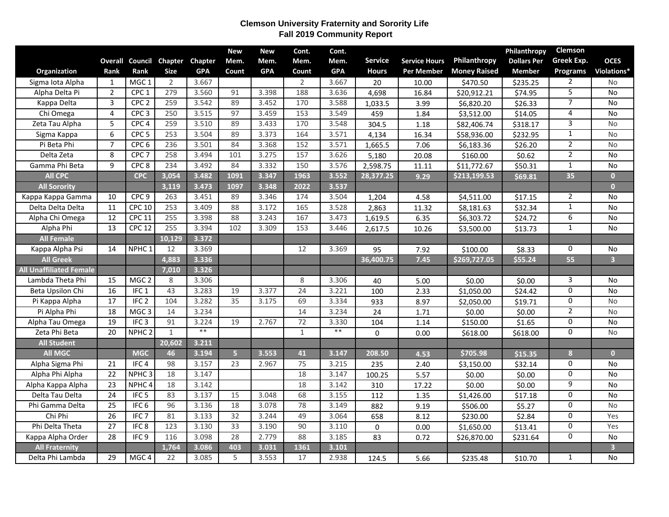## **Clemson University Fraternity and Sorority Life Fall 2019 Community Report**

|                                |                 |                        |                |            | <b>New</b>      | <b>New</b> | Cont.            | Cont.      |                |                      |                     | Philanthropy       | Clemson        |                         |
|--------------------------------|-----------------|------------------------|----------------|------------|-----------------|------------|------------------|------------|----------------|----------------------|---------------------|--------------------|----------------|-------------------------|
|                                |                 | <b>Overall Council</b> | Chapter        | Chapter    | Mem.            | Mem.       | Mem.             | Mem.       | <b>Service</b> | <b>Service Hours</b> | Philanthropy        | <b>Dollars Per</b> | Greek Exp.     | <b>OCES</b>             |
| Organization                   | Rank            | Rank                   | <b>Size</b>    | <b>GPA</b> | Count           | <b>GPA</b> | Count            | <b>GPA</b> | <b>Hours</b>   | Per Member           | <b>Money Raised</b> | <b>Member</b>      | Programs       | Violations*             |
| Sigma Iota Alpha               | $\mathbf{1}$    | MGC <sub>1</sub>       | $\overline{2}$ | 3.667      |                 |            | $\overline{2}$   | 3.667      | 20             | 10.00                | \$470.50            | \$235.25           | $\overline{2}$ | No                      |
| Alpha Delta Pi                 | $\overline{2}$  | CPC <sub>1</sub>       | 279            | 3.560      | 91              | 3.398      | 188              | 3.636      | 4,698          | 16.84                | \$20,912.21         | \$74.95            | 5              | <b>No</b>               |
| Kappa Delta                    | $\overline{3}$  | CPC <sub>2</sub>       | 259            | 3.542      | 89              | 3.452      | 170              | 3.588      | 1,033.5        | 3.99                 | \$6,820.20          | \$26.33            | $\overline{7}$ | <b>No</b>               |
| Chi Omega                      | 4               | CPC <sub>3</sub>       | 250            | 3.515      | 97              | 3.459      | $\overline{153}$ | 3.549      | 459            | 1.84                 | \$3,512.00          | \$14.05            | 4              | No                      |
| Zeta Tau Alpha                 | 5               | CPC <sub>4</sub>       | 259            | 3.510      | 89              | 3.433      | 170              | 3.548      | 304.5          | 1.18                 | \$82,406.74         | \$318.17           | 3              | <b>No</b>               |
| Sigma Kappa                    | 6               | CPC <sub>5</sub>       | 253            | 3.504      | 89              | 3.373      | 164              | 3.571      | 4,134          | 16.34                | \$58,936.00         | \$232.95           | $\mathbf{1}$   | <b>No</b>               |
| Pi Beta Phi                    | $\overline{7}$  | CPC <sub>6</sub>       | 236            | 3.501      | 84              | 3.368      | 152              | 3.571      | 1,665.5        | 7.06                 | \$6,183.36          | \$26.20            | $\overline{2}$ | No                      |
| Delta Zeta                     | 8               | CPC <sub>7</sub>       | 258            | 3.494      | 101             | 3.275      | 157              | 3.626      | 5,180          | $\overline{20.08}$   | \$160.00            | \$0.62             | $\overline{2}$ | <b>No</b>               |
| Gamma Phi Beta                 | $\mathsf{q}$    | CPC <sub>8</sub>       | 234            | 3.492      | 84              | 3.332      | 150              | 3.576      | 2,598.75       | 11.11                | \$11,772.67         | \$50.31            | $\mathbf{1}$   | No                      |
| <b>All CPC</b>                 |                 | <b>CPC</b>             | 3,054          | 3.482      | 1091            | 3.347      | 1963             | 3.552      | 28,377.25      | 9.29                 | \$213,199.53        | \$69.81            | 35             | $\mathbf{0}$            |
| <b>All Sorority</b>            |                 |                        | 3,119          | 3.473      | 1097            | 3.348      | 2022             | 3.537      |                |                      |                     |                    |                | $\overline{0}$          |
| Kappa Kappa Gamma              | 10              | CPC <sub>9</sub>       | 263            | 3.451      | 89              | 3.346      | 174              | 3.504      | 1,204          | 4.58                 | \$4,511.00          | \$17.15            | $\overline{2}$ | No                      |
| Delta Delta Delta              | 11              | <b>CPC 10</b>          | 253            | 3.409      | 88              | 3.172      | 165              | 3.528      | 2,863          | 11.32                | \$8,181.63          | \$32.34            | $\mathbf{1}$   | No                      |
| Alpha Chi Omega                | 12              | <b>CPC 11</b>          | 255            | 3.398      | 88              | 3.243      | 167              | 3.473      | 1,619.5        | 6.35                 | \$6,303.72          | \$24.72            | $\overline{6}$ | No                      |
| Alpha Phi                      | $\overline{13}$ | <b>CPC 12</b>          | 255            | 3.394      | 102             | 3.309      | $\overline{153}$ | 3.446      | 2,617.5        | 10.26                | \$3,500.00          | \$13.73            | $\mathbf{1}$   | <b>No</b>               |
| <b>All Female</b>              |                 |                        | 10,129         | 3.372      |                 |            |                  |            |                |                      |                     |                    |                |                         |
| Kappa Alpha Psi                | 14              | NPHC <sub>1</sub>      | 12             | 3.369      |                 |            | 12               | 3.369      | 95             | 7.92                 | \$100.00            | \$8.33             | 0              | No                      |
| <b>All Greek</b>               |                 |                        | 4,883          | 3.336      |                 |            |                  |            | 36,400.75      | 7.45                 | \$269,727.05        | \$55.24            | 55             | $\overline{\mathbf{3}}$ |
| <b>All Unaffiliated Female</b> |                 |                        | 7,010          | 3.326      |                 |            |                  |            |                |                      |                     |                    |                |                         |
| Lambda Theta Phi               | 15              | MGC <sub>2</sub>       | 8              | 3.306      |                 |            | 8                | 3.306      | 40             | 5.00                 | \$0.00              | \$0.00             | 3              | No                      |
| Beta Upsilon Chi               | 16              | IFC <sub>1</sub>       | 43             | 3.283      | 19              | 3.377      | $\overline{24}$  | 3.221      | 100            | 2.33                 | \$1,050.00          | \$24.42            | $\mathbf 0$    | <b>No</b>               |
| Pi Kappa Alpha                 | $\overline{17}$ | IFC <sub>2</sub>       | 104            | 3.282      | 35              | 3.175      | 69               | 3.334      | 933            | 8.97                 | \$2,050.00          | \$19.71            | $\overline{0}$ | <b>No</b>               |
| Pi Alpha Phi                   | 18              | MGC <sub>3</sub>       | 14             | 3.234      |                 |            | 14               | 3.234      | 24             | 1.71                 | \$0.00              | \$0.00             | $\overline{2}$ | No                      |
| Alpha Tau Omega                | $\overline{19}$ | IFC <sub>3</sub>       | 91             | 3.224      | 19              | 2.767      | $\overline{72}$  | 3.330      | 104            | 1.14                 | \$150.00            | \$1.65             | $\mathbf 0$    | No                      |
| Zeta Phi Beta                  | 20              | NPHC <sub>2</sub>      | $\mathbf{1}$   | $**$       |                 |            | $\mathbf{1}$     | $\ast\ast$ | 0              | 0.00                 | \$618.00            | \$618.00           | $\Omega$       | <b>No</b>               |
| <b>All Student</b>             |                 |                        | 20,602         | 3.211      |                 |            |                  |            |                |                      |                     |                    |                |                         |
| <b>All MGC</b>                 |                 | <b>MGC</b>             | 46             | 3.194      | $\overline{5}$  | 3.553      | 41               | 3.147      | 208.50         | 4.53                 | \$705.98            | \$15.35            | 8              | $\mathbf{0}$            |
| Alpha Sigma Phi                | 21              | IFC <sub>4</sub>       | 98             | 3.157      | $\overline{23}$ | 2.967      | $\overline{75}$  | 3.215      | 235            | 2.40                 | \$3,150.00          | \$32.14            | $\mathbf 0$    | <b>No</b>               |
| Alpha Phi Alpha                | 22              | NPHC <sub>3</sub>      | 18             | 3.147      |                 |            | 18               | 3.147      | 100.25         | 5.57                 | \$0.00              | \$0.00             | $\overline{0}$ | <b>No</b>               |
| Alpha Kappa Alpha              | 23              | NPHC <sub>4</sub>      | 18             | 3.142      |                 |            | 18               | 3.142      | 310            | 17.22                | \$0.00              | \$0.00             | 9              | No                      |
| Delta Tau Delta                | $\overline{24}$ | IFC <sub>5</sub>       | 83             | 3.137      | 15              | 3.048      | 68               | 3.155      | 112            | 1.35                 | \$1,426.00          | \$17.18            | $\Omega$       | <b>No</b>               |
| Phi Gamma Delta                | $\overline{25}$ | IFC <sub>6</sub>       | 96             | 3.136      | 18              | 3.078      | 78               | 3.149      | 882            | 9.19                 | \$506.00            | \$5.27             | $\overline{0}$ | <b>No</b>               |
| Chi Phi                        | $\overline{26}$ | IFC <sub>7</sub>       | 81             | 3.133      | 32              | 3.244      | 49               | 3.064      | 658            | 8.12                 | \$230.00            | \$2.84             | $\mathbf 0$    | Yes                     |
| Phi Delta Theta                | $\overline{27}$ | IFC <sub>8</sub>       | 123            | 3.130      | 33              | 3.190      | 90               | 3.110      | $\mathbf 0$    | 0.00                 | \$1,650.00          | \$13.41            | $\mathbf 0$    | Yes                     |
| Kappa Alpha Order              | 28              | IFC <sub>9</sub>       | 116            | 3.098      | 28              | 2.779      | 88               | 3.185      | 83             | 0.72                 | \$26,870.00         | \$231.64           | $\mathbf 0$    | No                      |
| <b>All Fraternity</b>          |                 |                        | 1,764          | 3.086      | 403             | 3.031      | 1361             | 3.101      |                |                      |                     |                    |                | $\overline{\mathbf{3}}$ |
| Delta Phi Lambda               | 29              | MGC <sub>4</sub>       | 22             | 3.085      | 5               | 3.553      | 17               | 2.938      | 124.5          | 5.66                 | \$235.48            | \$10.70            | $\mathbf{1}$   | <b>No</b>               |